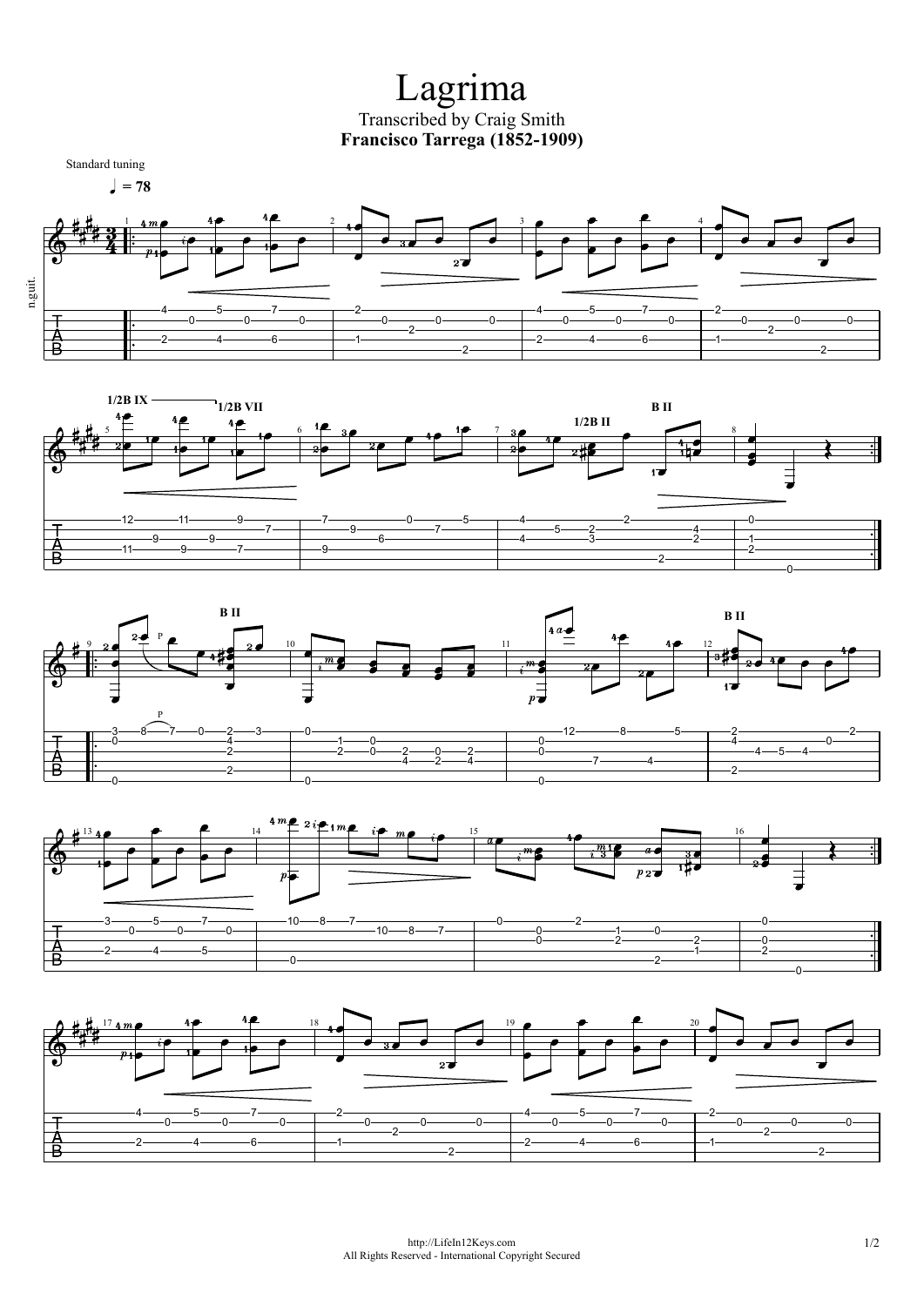Lagrima Transcribed by Craig Smith **Francisco Tarrega (1852-1909)**